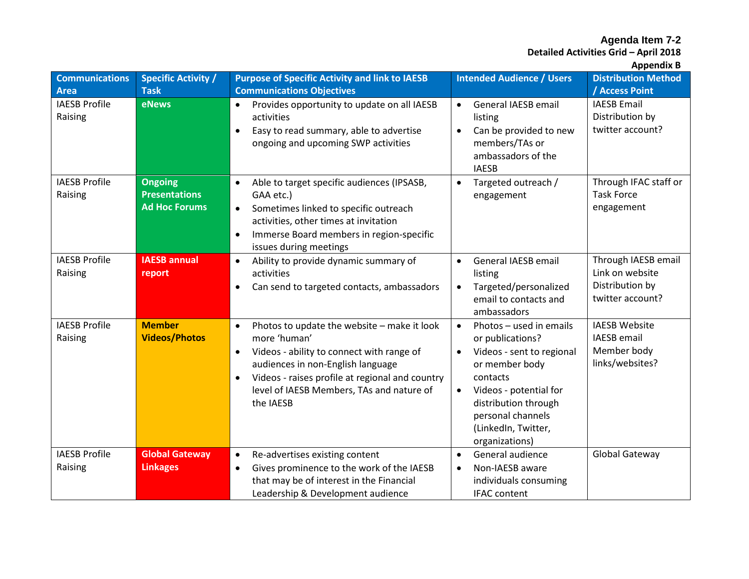**Detailed Activities Grid – April 2018**

| <b>Communications</b>           | <b>Specific Activity /</b>                                     | <b>Purpose of Specific Activity and link to IAESB</b>                                                                                                                                                                                                                                | <b>Intended Audience / Users</b>                                                                                                                                                                                                                              | <b>Distribution Method</b>                                                    |
|---------------------------------|----------------------------------------------------------------|--------------------------------------------------------------------------------------------------------------------------------------------------------------------------------------------------------------------------------------------------------------------------------------|---------------------------------------------------------------------------------------------------------------------------------------------------------------------------------------------------------------------------------------------------------------|-------------------------------------------------------------------------------|
| Area                            | <b>Task</b>                                                    | <b>Communications Objectives</b>                                                                                                                                                                                                                                                     |                                                                                                                                                                                                                                                               | / Access Point                                                                |
| <b>IAESB Profile</b><br>Raising | eNews                                                          | Provides opportunity to update on all IAESB<br>activities<br>Easy to read summary, able to advertise<br>$\bullet$<br>ongoing and upcoming SWP activities                                                                                                                             | General IAESB email<br>$\bullet$<br>listing<br>Can be provided to new<br>$\bullet$<br>members/TAs or<br>ambassadors of the<br><b>IAESB</b>                                                                                                                    | <b>IAESB Email</b><br>Distribution by<br>twitter account?                     |
| <b>IAESB Profile</b><br>Raising | <b>Ongoing</b><br><b>Presentations</b><br><b>Ad Hoc Forums</b> | Able to target specific audiences (IPSASB,<br>GAA etc.)<br>Sometimes linked to specific outreach<br>$\bullet$<br>activities, other times at invitation<br>Immerse Board members in region-specific<br>issues during meetings                                                         | Targeted outreach /<br>$\bullet$<br>engagement                                                                                                                                                                                                                | Through IFAC staff or<br><b>Task Force</b><br>engagement                      |
| <b>IAESB Profile</b><br>Raising | <b>IAESB annual</b><br>report                                  | Ability to provide dynamic summary of<br>$\bullet$<br>activities<br>Can send to targeted contacts, ambassadors<br>$\bullet$                                                                                                                                                          | General IAESB email<br>$\bullet$<br>listing<br>Targeted/personalized<br>$\bullet$<br>email to contacts and<br>ambassadors                                                                                                                                     | Through IAESB email<br>Link on website<br>Distribution by<br>twitter account? |
| <b>IAESB Profile</b><br>Raising | <b>Member</b><br><b>Videos/Photos</b>                          | Photos to update the website - make it look<br>$\bullet$<br>more 'human'<br>Videos - ability to connect with range of<br>audiences in non-English language<br>Videos - raises profile at regional and country<br>$\bullet$<br>level of IAESB Members, TAs and nature of<br>the IAESB | Photos - used in emails<br>$\bullet$<br>or publications?<br>Videos - sent to regional<br>$\bullet$<br>or member body<br>contacts<br>Videos - potential for<br>$\bullet$<br>distribution through<br>personal channels<br>(LinkedIn, Twitter,<br>organizations) | <b>IAESB Website</b><br><b>IAESB</b> email<br>Member body<br>links/websites?  |
| <b>IAESB Profile</b><br>Raising | <b>Global Gateway</b><br><b>Linkages</b>                       | Re-advertises existing content<br>$\bullet$<br>Gives prominence to the work of the IAESB<br>$\bullet$<br>that may be of interest in the Financial<br>Leadership & Development audience                                                                                               | General audience<br>$\bullet$<br>Non-IAESB aware<br>$\bullet$<br>individuals consuming<br><b>IFAC</b> content                                                                                                                                                 | Global Gateway                                                                |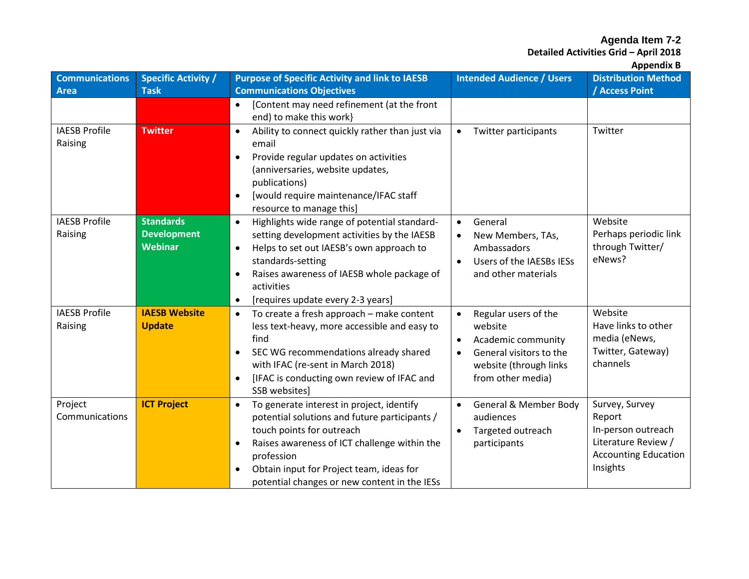**Detailed Activities Grid – April 2018**

**Appendix B**

| <b>Communications</b><br><b>Area</b> | <b>Specific Activity /</b><br><b>Task</b> | <b>Purpose of Specific Activity and link to IAESB</b><br><b>Communications Objectives</b>                                                                                                                                                                          | <b>Intended Audience / Users</b>                                        | . .<br><b>Distribution Method</b><br>/ Access Point |
|--------------------------------------|-------------------------------------------|--------------------------------------------------------------------------------------------------------------------------------------------------------------------------------------------------------------------------------------------------------------------|-------------------------------------------------------------------------|-----------------------------------------------------|
|                                      |                                           | [Content may need refinement (at the front<br>end) to make this work}                                                                                                                                                                                              |                                                                         |                                                     |
| <b>IAESB Profile</b><br>Raising      | <b>Twitter</b>                            | Ability to connect quickly rather than just via<br>$\bullet$<br>email<br>Provide regular updates on activities<br>$\bullet$<br>(anniversaries, website updates,<br>publications)<br>[would require maintenance/IFAC staff<br>$\bullet$<br>resource to manage this] | Twitter participants<br>$\bullet$                                       | Twitter                                             |
| <b>IAESB Profile</b>                 | <b>Standards</b>                          | Highlights wide range of potential standard-                                                                                                                                                                                                                       | General                                                                 | Website                                             |
| Raising                              | <b>Development</b><br><b>Webinar</b>      | setting development activities by the IAESB<br>Helps to set out IAESB's own approach to<br>$\bullet$                                                                                                                                                               | New Members, TAs,<br>Ambassadors                                        | Perhaps periodic link<br>through Twitter/           |
|                                      |                                           | standards-setting                                                                                                                                                                                                                                                  | Users of the IAESBs IESs                                                | eNews?                                              |
|                                      |                                           | Raises awareness of IAESB whole package of                                                                                                                                                                                                                         | and other materials                                                     |                                                     |
|                                      |                                           | activities<br>[requires update every 2-3 years]<br>$\bullet$                                                                                                                                                                                                       |                                                                         |                                                     |
| <b>IAESB Profile</b>                 | <b>IAESB Website</b>                      | To create a fresh approach - make content<br>$\bullet$                                                                                                                                                                                                             | Regular users of the<br>$\bullet$                                       | Website                                             |
| Raising                              | <b>Update</b>                             | less text-heavy, more accessible and easy to                                                                                                                                                                                                                       | website                                                                 | Have links to other                                 |
|                                      |                                           | find<br>SEC WG recommendations already shared<br>$\bullet$                                                                                                                                                                                                         | Academic community<br>$\bullet$<br>General visitors to the<br>$\bullet$ | media (eNews,<br>Twitter, Gateway)                  |
|                                      |                                           | with IFAC (re-sent in March 2018)                                                                                                                                                                                                                                  | website (through links                                                  | channels                                            |
|                                      |                                           | [IFAC is conducting own review of IFAC and<br>SSB websites]                                                                                                                                                                                                        | from other media)                                                       |                                                     |
| Project                              | <b>ICT Project</b>                        | To generate interest in project, identify<br>$\bullet$                                                                                                                                                                                                             | General & Member Body<br>$\bullet$                                      | Survey, Survey                                      |
| Communications                       |                                           | potential solutions and future participants /<br>touch points for outreach                                                                                                                                                                                         | audiences<br>Targeted outreach                                          | Report<br>In-person outreach                        |
|                                      |                                           | Raises awareness of ICT challenge within the<br>$\bullet$                                                                                                                                                                                                          | participants                                                            | Literature Review /                                 |
|                                      |                                           | profession                                                                                                                                                                                                                                                         |                                                                         | <b>Accounting Education</b>                         |
|                                      |                                           | Obtain input for Project team, ideas for                                                                                                                                                                                                                           |                                                                         | Insights                                            |
|                                      |                                           | potential changes or new content in the IESs                                                                                                                                                                                                                       |                                                                         |                                                     |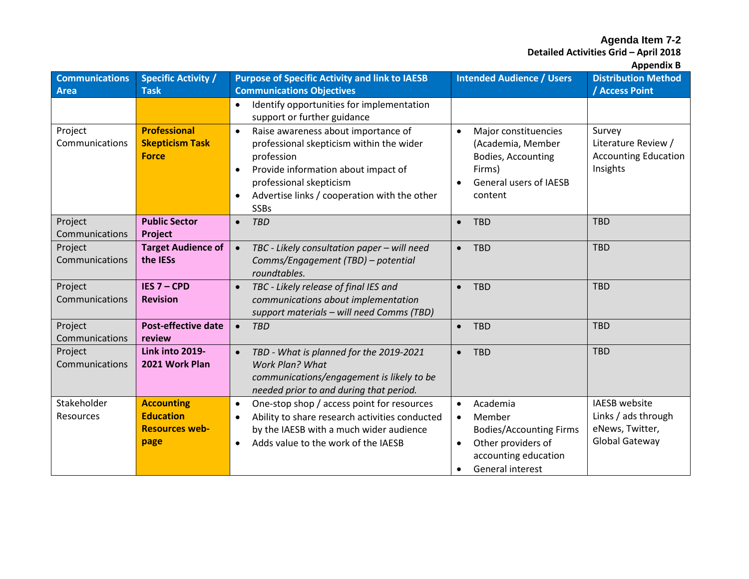**Detailed Activities Grid – April 2018**

| <b>Communications</b><br><b>Area</b> | <b>Specific Activity /</b><br><b>Task</b>                              | <b>Purpose of Specific Activity and link to IAESB</b><br><b>Communications Objectives</b>                                                                                                                                                                | <b>Intended Audience / Users</b>                                                                                                                                           | <b>Distribution Method</b><br><b>Access Point</b>                                |
|--------------------------------------|------------------------------------------------------------------------|----------------------------------------------------------------------------------------------------------------------------------------------------------------------------------------------------------------------------------------------------------|----------------------------------------------------------------------------------------------------------------------------------------------------------------------------|----------------------------------------------------------------------------------|
|                                      |                                                                        | Identify opportunities for implementation<br>$\bullet$<br>support or further guidance                                                                                                                                                                    |                                                                                                                                                                            |                                                                                  |
| Project<br>Communications            | <b>Professional</b><br><b>Skepticism Task</b><br><b>Force</b>          | Raise awareness about importance of<br>$\bullet$<br>professional skepticism within the wider<br>profession<br>Provide information about impact of<br>$\bullet$<br>professional skepticism<br>Advertise links / cooperation with the other<br><b>SSBs</b> | Major constituencies<br>$\bullet$<br>(Academia, Member<br>Bodies, Accounting<br>Firms)<br>General users of IAESB<br>content                                                | Survey<br>Literature Review /<br><b>Accounting Education</b><br>Insights         |
| Project<br>Communications            | <b>Public Sector</b><br>Project                                        | <b>TBD</b><br>$\bullet$                                                                                                                                                                                                                                  | <b>TBD</b><br>$\bullet$                                                                                                                                                    | <b>TBD</b>                                                                       |
| Project<br>Communications            | <b>Target Audience of</b><br>the IESs                                  | TBC - Likely consultation paper - will need<br>$\bullet$<br>Comms/Engagement (TBD) - potential<br>roundtables.                                                                                                                                           | $\bullet$ TBD                                                                                                                                                              | <b>TBD</b>                                                                       |
| Project<br>Communications            | IES 7 - CPD<br><b>Revision</b>                                         | TBC - Likely release of final IES and<br>$\bullet$<br>communications about implementation<br>support materials - will need Comms (TBD)                                                                                                                   | <b>TBD</b><br>$\bullet$                                                                                                                                                    | <b>TBD</b>                                                                       |
| Project<br>Communications            | <b>Post-effective date</b><br>review                                   | <b>TBD</b>                                                                                                                                                                                                                                               | <b>TBD</b><br>$\bullet$                                                                                                                                                    | <b>TBD</b>                                                                       |
| Project<br>Communications            | Link into 2019-<br>2021 Work Plan                                      | TBD - What is planned for the 2019-2021<br>$\bullet$<br><b>Work Plan? What</b><br>communications/engagement is likely to be<br>needed prior to and during that period.                                                                                   | <b>TBD</b><br>$\bullet$                                                                                                                                                    | <b>TBD</b>                                                                       |
| Stakeholder<br><b>Resources</b>      | <b>Accounting</b><br><b>Education</b><br><b>Resources web-</b><br>page | One-stop shop / access point for resources<br>$\bullet$<br>Ability to share research activities conducted<br>$\bullet$<br>by the IAESB with a much wider audience<br>Adds value to the work of the IAESB<br>$\bullet$                                    | Academia<br>$\bullet$<br>Member<br>$\bullet$<br><b>Bodies/Accounting Firms</b><br>Other providers of<br>$\bullet$<br>accounting education<br>General interest<br>$\bullet$ | <b>IAESB</b> website<br>Links / ads through<br>eNews, Twitter,<br>Global Gateway |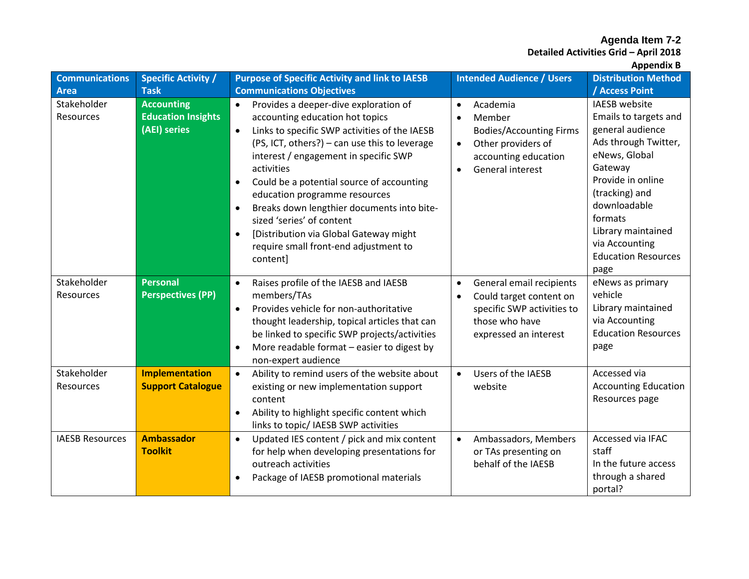**Detailed Activities Grid – April 2018**

| <b>Communications</b>    | <b>Specific Activity /</b>                                     | <b>Purpose of Specific Activity and link to IAESB</b>                                                                                                                                                                                                                                                                                                                                                                                                                                                                                         | <b>Intended Audience / Users</b>                                                                                                                                           | <b>Distribution Method</b>                                                                                                                                                                                                                                            |
|--------------------------|----------------------------------------------------------------|-----------------------------------------------------------------------------------------------------------------------------------------------------------------------------------------------------------------------------------------------------------------------------------------------------------------------------------------------------------------------------------------------------------------------------------------------------------------------------------------------------------------------------------------------|----------------------------------------------------------------------------------------------------------------------------------------------------------------------------|-----------------------------------------------------------------------------------------------------------------------------------------------------------------------------------------------------------------------------------------------------------------------|
| <b>Area</b>              | <b>Task</b>                                                    | <b>Communications Objectives</b>                                                                                                                                                                                                                                                                                                                                                                                                                                                                                                              |                                                                                                                                                                            | / Access Point                                                                                                                                                                                                                                                        |
| Stakeholder<br>Resources | <b>Accounting</b><br><b>Education Insights</b><br>(AEI) series | Provides a deeper-dive exploration of<br>accounting education hot topics<br>Links to specific SWP activities of the IAESB<br>$\bullet$<br>(PS, ICT, others?) - can use this to leverage<br>interest / engagement in specific SWP<br>activities<br>Could be a potential source of accounting<br>$\bullet$<br>education programme resources<br>Breaks down lengthier documents into bite-<br>$\bullet$<br>sized 'series' of content<br>[Distribution via Global Gateway might<br>$\bullet$<br>require small front-end adjustment to<br>content] | Academia<br>$\bullet$<br>Member<br>$\bullet$<br><b>Bodies/Accounting Firms</b><br>Other providers of<br>$\bullet$<br>accounting education<br>General interest<br>$\bullet$ | <b>IAESB</b> website<br>Emails to targets and<br>general audience<br>Ads through Twitter,<br>eNews, Global<br>Gateway<br>Provide in online<br>(tracking) and<br>downloadable<br>formats<br>Library maintained<br>via Accounting<br><b>Education Resources</b><br>page |
| Stakeholder<br>Resources | <b>Personal</b><br><b>Perspectives (PP)</b>                    | Raises profile of the IAESB and IAESB<br>members/TAs<br>Provides vehicle for non-authoritative<br>$\bullet$<br>thought leadership, topical articles that can<br>be linked to specific SWP projects/activities<br>More readable format - easier to digest by<br>$\bullet$<br>non-expert audience                                                                                                                                                                                                                                               | General email recipients<br>$\bullet$<br>Could target content on<br>$\bullet$<br>specific SWP activities to<br>those who have<br>expressed an interest                     | eNews as primary<br>vehicle<br>Library maintained<br>via Accounting<br><b>Education Resources</b><br>page                                                                                                                                                             |
| Stakeholder<br>Resources | <b>Implementation</b><br><b>Support Catalogue</b>              | Ability to remind users of the website about<br>$\bullet$<br>existing or new implementation support<br>content<br>Ability to highlight specific content which<br>links to topic/ IAESB SWP activities                                                                                                                                                                                                                                                                                                                                         | Users of the IAESB<br>$\bullet$<br>website                                                                                                                                 | Accessed via<br><b>Accounting Education</b><br>Resources page                                                                                                                                                                                                         |
| <b>IAESB Resources</b>   | <b>Ambassador</b><br><b>Toolkit</b>                            | Updated IES content / pick and mix content<br>$\bullet$<br>for help when developing presentations for<br>outreach activities<br>Package of IAESB promotional materials                                                                                                                                                                                                                                                                                                                                                                        | Ambassadors, Members<br>$\bullet$<br>or TAs presenting on<br>behalf of the IAESB                                                                                           | Accessed via IFAC<br>staff<br>In the future access<br>through a shared<br>portal?                                                                                                                                                                                     |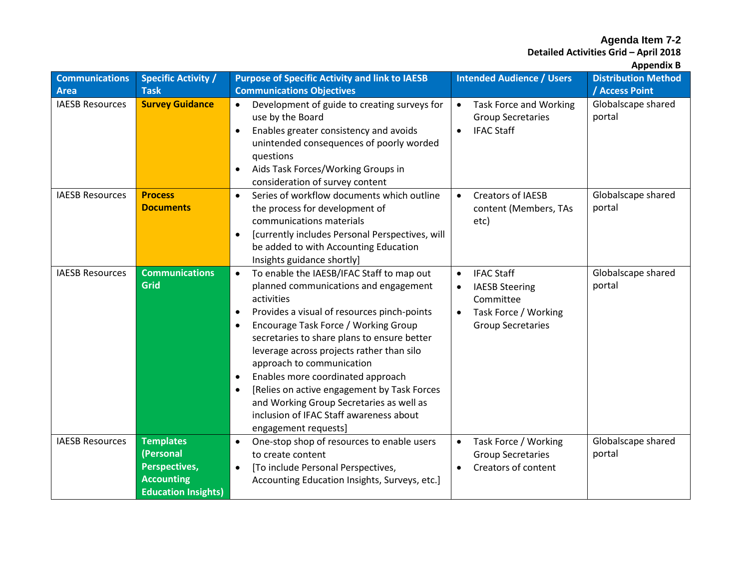**Detailed Activities Grid – April 2018**

| <b>Communications</b>  | <b>Specific Activity /</b>         | <b>Purpose of Specific Activity and link to IAESB</b>                                                                                                                                                                                                                                                                                                                                                                                                                                                                                                                                | <b>Intended Audience / Users</b>                                                                                                                   | <b>Distribution Method</b>   |
|------------------------|------------------------------------|--------------------------------------------------------------------------------------------------------------------------------------------------------------------------------------------------------------------------------------------------------------------------------------------------------------------------------------------------------------------------------------------------------------------------------------------------------------------------------------------------------------------------------------------------------------------------------------|----------------------------------------------------------------------------------------------------------------------------------------------------|------------------------------|
| <b>Area</b>            | <b>Task</b>                        | <b>Communications Objectives</b>                                                                                                                                                                                                                                                                                                                                                                                                                                                                                                                                                     |                                                                                                                                                    | / Access Point               |
| <b>IAESB Resources</b> | <b>Survey Guidance</b>             | Development of guide to creating surveys for<br>use by the Board<br>Enables greater consistency and avoids<br>$\bullet$<br>unintended consequences of poorly worded<br>questions<br>Aids Task Forces/Working Groups in<br>$\bullet$                                                                                                                                                                                                                                                                                                                                                  | <b>Task Force and Working</b><br>$\bullet$<br><b>Group Secretaries</b><br><b>IFAC Staff</b><br>$\bullet$                                           | Globalscape shared<br>portal |
|                        |                                    | consideration of survey content                                                                                                                                                                                                                                                                                                                                                                                                                                                                                                                                                      |                                                                                                                                                    |                              |
| <b>IAESB Resources</b> | <b>Process</b><br><b>Documents</b> | Series of workflow documents which outline<br>$\bullet$<br>the process for development of<br>communications materials<br>[currently includes Personal Perspectives, will<br>$\bullet$<br>be added to with Accounting Education<br>Insights guidance shortly]                                                                                                                                                                                                                                                                                                                         | <b>Creators of IAESB</b><br>$\bullet$<br>content (Members, TAs<br>etc)                                                                             | Globalscape shared<br>portal |
| <b>IAESB Resources</b> | <b>Communications</b><br>Grid      | To enable the IAESB/IFAC Staff to map out<br>$\bullet$<br>planned communications and engagement<br>activities<br>Provides a visual of resources pinch-points<br>$\bullet$<br>Encourage Task Force / Working Group<br>$\bullet$<br>secretaries to share plans to ensure better<br>leverage across projects rather than silo<br>approach to communication<br>Enables more coordinated approach<br>$\bullet$<br>[Relies on active engagement by Task Forces<br>$\bullet$<br>and Working Group Secretaries as well as<br>inclusion of IFAC Staff awareness about<br>engagement requests] | <b>IFAC Staff</b><br>$\bullet$<br><b>IAESB Steering</b><br>$\bullet$<br>Committee<br>Task Force / Working<br>$\bullet$<br><b>Group Secretaries</b> | Globalscape shared<br>portal |
| <b>IAESB Resources</b> | <b>Templates</b>                   | One-stop shop of resources to enable users<br>$\bullet$                                                                                                                                                                                                                                                                                                                                                                                                                                                                                                                              | Task Force / Working<br>$\bullet$                                                                                                                  | Globalscape shared           |
|                        | (Personal                          | to create content                                                                                                                                                                                                                                                                                                                                                                                                                                                                                                                                                                    | <b>Group Secretaries</b>                                                                                                                           | portal                       |
|                        | <b>Perspectives,</b>               | [To include Personal Perspectives,<br>$\bullet$                                                                                                                                                                                                                                                                                                                                                                                                                                                                                                                                      | Creators of content<br>$\bullet$                                                                                                                   |                              |
|                        | <b>Accounting</b>                  | Accounting Education Insights, Surveys, etc.]                                                                                                                                                                                                                                                                                                                                                                                                                                                                                                                                        |                                                                                                                                                    |                              |
|                        | <b>Education Insights)</b>         |                                                                                                                                                                                                                                                                                                                                                                                                                                                                                                                                                                                      |                                                                                                                                                    |                              |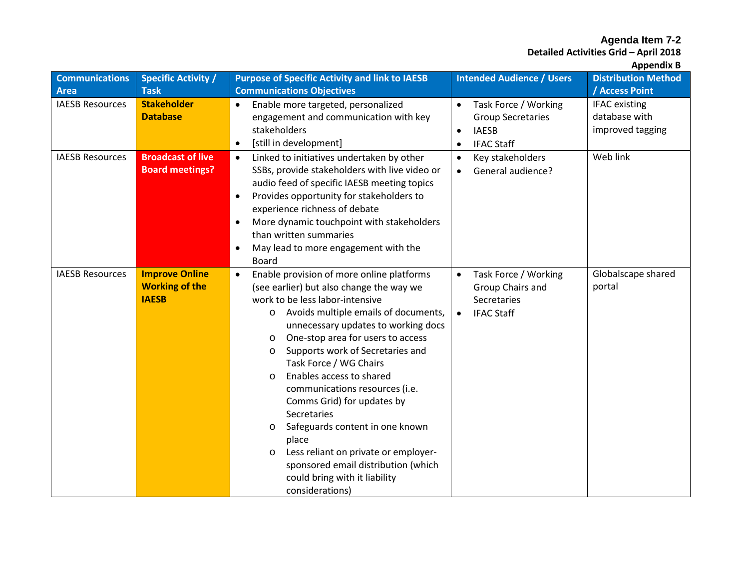**Detailed Activities Grid – April 2018**

| <b>Communications</b>  | <b>Specific Activity /</b>                                     | <b>Purpose of Specific Activity and link to IAESB</b>                                                                                                                                                                                                                                                                                                                                                                                                                                                                                                                                                                                                                         | <b>Intended Audience / Users</b>                                                                                             | <b>Distribution Method</b>                                |
|------------------------|----------------------------------------------------------------|-------------------------------------------------------------------------------------------------------------------------------------------------------------------------------------------------------------------------------------------------------------------------------------------------------------------------------------------------------------------------------------------------------------------------------------------------------------------------------------------------------------------------------------------------------------------------------------------------------------------------------------------------------------------------------|------------------------------------------------------------------------------------------------------------------------------|-----------------------------------------------------------|
| Area                   | <b>Task</b>                                                    | <b>Communications Objectives</b>                                                                                                                                                                                                                                                                                                                                                                                                                                                                                                                                                                                                                                              |                                                                                                                              | / Access Point                                            |
| <b>IAESB Resources</b> | <b>Stakeholder</b><br><b>Database</b>                          | Enable more targeted, personalized<br>engagement and communication with key<br>stakeholders<br>[still in development]<br>$\bullet$                                                                                                                                                                                                                                                                                                                                                                                                                                                                                                                                            | Task Force / Working<br>$\bullet$<br><b>Group Secretaries</b><br><b>IAESB</b><br>$\bullet$<br><b>IFAC Staff</b><br>$\bullet$ | <b>IFAC</b> existing<br>database with<br>improved tagging |
| <b>IAESB Resources</b> | <b>Broadcast of live</b><br><b>Board meetings?</b>             | Linked to initiatives undertaken by other<br>$\bullet$<br>SSBs, provide stakeholders with live video or<br>audio feed of specific IAESB meeting topics<br>Provides opportunity for stakeholders to<br>experience richness of debate<br>More dynamic touchpoint with stakeholders<br>$\bullet$<br>than written summaries<br>May lead to more engagement with the<br><b>Board</b>                                                                                                                                                                                                                                                                                               | Key stakeholders<br>$\bullet$<br>General audience?<br>$\bullet$                                                              | Web link                                                  |
| <b>IAESB Resources</b> | <b>Improve Online</b><br><b>Working of the</b><br><b>IAESB</b> | Enable provision of more online platforms<br>$\bullet$<br>(see earlier) but also change the way we<br>work to be less labor-intensive<br>Avoids multiple emails of documents,<br>$\circ$<br>unnecessary updates to working docs<br>One-stop area for users to access<br>$\circ$<br>Supports work of Secretaries and<br>$\circ$<br>Task Force / WG Chairs<br>Enables access to shared<br>$\circ$<br>communications resources (i.e.<br>Comms Grid) for updates by<br>Secretaries<br>Safeguards content in one known<br>O<br>place<br>Less reliant on private or employer-<br>$\circ$<br>sponsored email distribution (which<br>could bring with it liability<br>considerations) | Task Force / Working<br>$\bullet$<br>Group Chairs and<br>Secretaries<br><b>IFAC Staff</b><br>$\bullet$                       | Globalscape shared<br>portal                              |